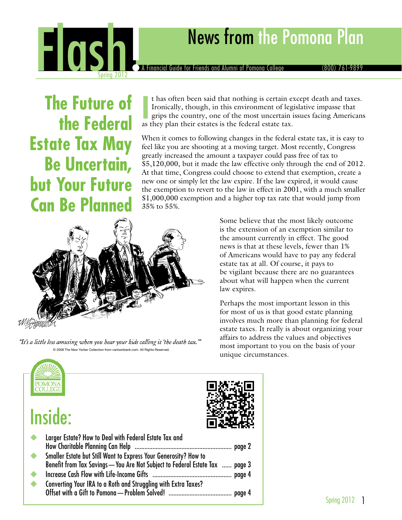

**The Future of the Federal Estate Tax May Be Uncertain, but Your Future Can Be Planned**

If has often been said that nothing is certain e Ironically, though, in this environment of leg grips the country, one of the most uncertain as they plan their estates is the federal estate tax. t has often been said that nothing is certain except death and taxes. Ironically, though, in this environment of legislative impasse that grips the country, one of the most uncertain issues facing Americans

When it comes to following changes in the federal estate tax, it is easy to feel like you are shooting at a moving target. Most recently, Congress greatly increased the amount a taxpayer could pass free of tax to \$5,120,000, but it made the law effective only through the end of 2012. At that time, Congress could choose to extend that exemption, create a new one or simply let the law expire. If the law expired, it would cause the exemption to revert to the law in effect in 2001, with a much smaller \$1,000,000 exemption and a higher top tax rate that would jump from 35% to 55%.



"It's a little less amusing when you hear your kids calling it 'the death tax.'" © 2008 The New Yorker Collection from cartoonbank.com. All Rights Reserved.

Some believe that the most likely outcome is the extension of an exemption similar to the amount currently in effect. The good news is that at these levels, fewer than 1% of Americans would have to pay any federal estate tax at all. Of course, it pays to be vigilant because there are no guarantees about what will happen when the current law expires.

Perhaps the most important lesson in this for most of us is that good estate planning involves much more than planning for federal estate taxes. It really is about organizing your affairs to address the values and objectives most important to you on the basis of your unique circumstances.



## Inside:

| $\bullet$       | Larger Estate? How to Deal with Federal Estate Tax and                                                                                           |  |
|-----------------|--------------------------------------------------------------------------------------------------------------------------------------------------|--|
| $\blacklozenge$ | Smaller Estate but Still Want to Express Your Generosity? How to<br>Benefit from Tax Savings - You Are Not Subject to Federal Estate Tax  page 3 |  |
| $\blacklozenge$ |                                                                                                                                                  |  |
| ◆               | Converting Your IRA to a Roth and Struggling with Extra Taxes?                                                                                   |  |
|                 |                                                                                                                                                  |  |

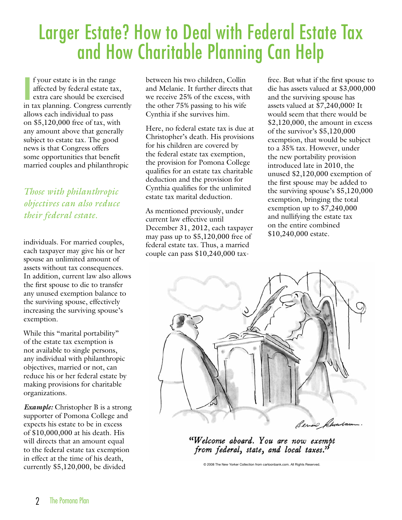## Larger Estate? How to Deal with Federal Estate Tax and How Charitable Planning Can Help

If your estate is in the range<br>
affected by federal estate tax,<br>
extra care should be exercised<br>
in tax planning. Congress currently f your estate is in the range affected by federal estate tax, extra care should be exercised allows each individual to pass on \$5,120,000 free of tax, with any amount above that generally subject to estate tax. The good news is that Congress offers some opportunities that benefit married couples and philanthropic

*Those with philanthropic objectives can also reduce their federal estate.*

individuals. For married couples, each taxpayer may give his or her spouse an unlimited amount of assets without tax consequences. In addition, current law also allows the first spouse to die to transfer any unused exemption balance to the surviving spouse, effectively increasing the surviving spouse's exemption.

While this "marital portability" of the estate tax exemption is not available to single persons, any individual with philanthropic objectives, married or not, can reduce his or her federal estate by making provisions for charitable organizations.

*Example:* Christopher B is a strong supporter of Pomona College and expects his estate to be in excess of \$10,000,000 at his death. His will directs that an amount equal to the federal estate tax exemption in effect at the time of his death, currently \$5,120,000, be divided

between his two children, Collin and Melanie. It further directs that we receive 25% of the excess, with the other 75% passing to his wife Cynthia if she survives him.

Here, no federal estate tax is due at Christopher's death. His provisions for his children are covered by the federal estate tax exemption, the provision for Pomona College qualifies for an estate tax charitable deduction and the provision for Cynthia qualifies for the unlimited estate tax marital deduction.

As mentioned previously, under current law effective until December 31, 2012, each taxpayer may pass up to \$5,120,000 free of federal estate tax. Thus, a married couple can pass \$10,240,000 taxfree. But what if the first spouse to die has assets valued at \$3,000,000 and the surviving spouse has assets valued at \$7,240,000? It would seem that there would be \$2,120,000, the amount in excess of the survivor's \$5,120,000 exemption, that would be subject to a 35% tax. However, under the new portability provision introduced late in 2010, the unused \$2,120,000 exemption of the first spouse may be added to the surviving spouse's \$5,120,000 exemption, bringing the total exemption up to \$7,240,000 and nullifying the estate tax on the entire combined \$10,240,000 estate.



"Welcome aboard. You are now exempt from federal, state, and local taxes."

© 2008 The New Yorker Collection from cartoonbank.com. All Rights Reserved.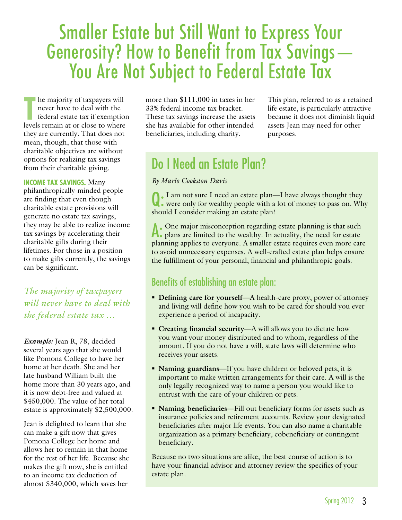# Smaller Estate but Still Want to Express Your Generosity? How to Benefit from Tax Savings— You Are Not Subject to Federal Estate Tax

**THE MANUS CONSERVENT SET AND THE MANUS CONSERVANCE CONSERVANCE CONSERVANCE CONSERVANCE CONSERVANCE CONSERVANCE CONSERVANCE CONSERVANCE CONSERVANCE CONSERVANCE CONSERVANCE CONSERVANCE CONSERVANCE CONSERVANCE CONSERVANCE CO** never have to deal with the federal estate tax if exemption levels remain at or close to where they are currently. That does not mean, though, that those with charitable objectives are without options for realizing tax savings from their charitable giving.

**Income tax savings.** Many philanthropically-minded people are finding that even though charitable estate provisions will generate no estate tax savings, they may be able to realize income tax savings by accelerating their charitable gifts during their lifetimes. For those in a position to make gifts currently, the savings can be significant.

*The majority of taxpayers will never have to deal with the federal estate tax …*

*Example:* Jean R, 78, decided several years ago that she would like Pomona College to have her home at her death. She and her late husband William built the home more than 30 years ago, and it is now debt-free and valued at \$450,000. The value of her total estate is approximately \$2,500,000.

Jean is delighted to learn that she can make a gift now that gives Pomona College her home and allows her to remain in that home for the rest of her life. Because she makes the gift now, she is entitled to an income tax deduction of almost \$340,000, which saves her

more than \$111,000 in taxes in her 33% federal income tax bracket. These tax savings increase the assets she has available for other intended beneficiaries, including charity.

This plan, referred to as a retained life estate, is particularly attractive because it does not diminish liquid assets Jean may need for other purposes.

### Do I Need an Estate Plan?

#### *By Marlo Cookston Davis*

Q: I am not sure I need an estate plan—I have always thought they were only for wealthy people with a lot of money to pass on. Why should I consider making an estate plan?

A: One major misconception regarding estate planning is that such plans are limited to the wealthy. In actuality, the need for estate planning applies to everyone. A smaller estate requires even more care to avoid unnecessary expenses. A well-crafted estate plan helps ensure the fulfillment of your personal, financial and philanthropic goals.

#### Benefits of establishing an estate plan:

- **Defining care for yourself—A** health-care proxy, power of attorney and living will define how you wish to be cared for should you ever experience a period of incapacity.
- **Creating financial security—A** will allows you to dictate how you want your money distributed and to whom, regardless of the amount. If you do not have a will, state laws will determine who receives your assets.
- **Naming guardians—If** you have children or beloved pets, it is important to make written arrangements for their care. A will is the only legally recognized way to name a person you would like to entrust with the care of your children or pets.
- **Naming beneficiaries—Fill out beneficiary forms for assets such as** insurance policies and retirement accounts. Review your designated beneficiaries after major life events. You can also name a charitable organization as a primary beneficiary, cobeneficiary or contingent beneficiary.

Because no two situations are alike, the best course of action is to have your financial advisor and attorney review the specifics of your estate plan.